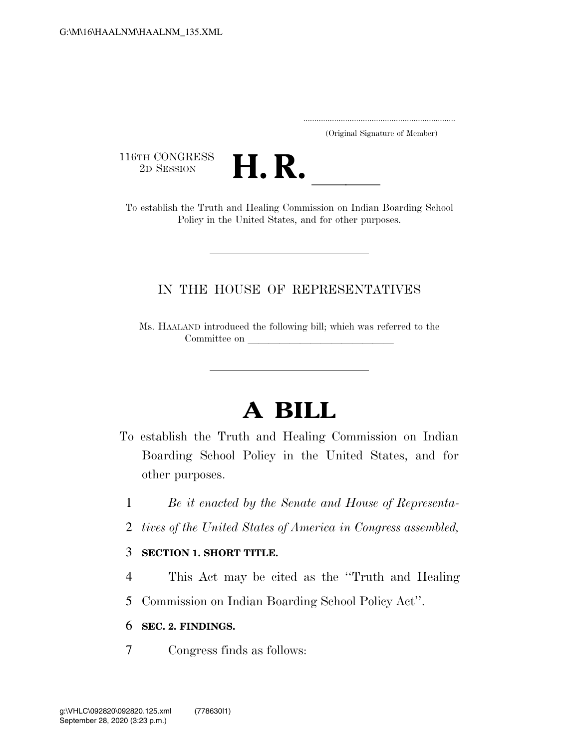..................................................................... (Original Signature of Member)

116TH CONGRESS<br>2D SESSION



16TH CONGRESS<br>
2D SESSION<br>
To establish the Truth and Healing Commission on Indian Boarding School Policy in the United States, and for other purposes.

## IN THE HOUSE OF REPRESENTATIVES

Ms. HAALAND introduced the following bill; which was referred to the Committee on

# **A BILL**

- To establish the Truth and Healing Commission on Indian Boarding School Policy in the United States, and for other purposes.
	- 1 *Be it enacted by the Senate and House of Representa-*
	- 2 *tives of the United States of America in Congress assembled,*

#### 3 **SECTION 1. SHORT TITLE.**

- 4 This Act may be cited as the ''Truth and Healing
- 5 Commission on Indian Boarding School Policy Act''.

### 6 **SEC. 2. FINDINGS.**

7 Congress finds as follows: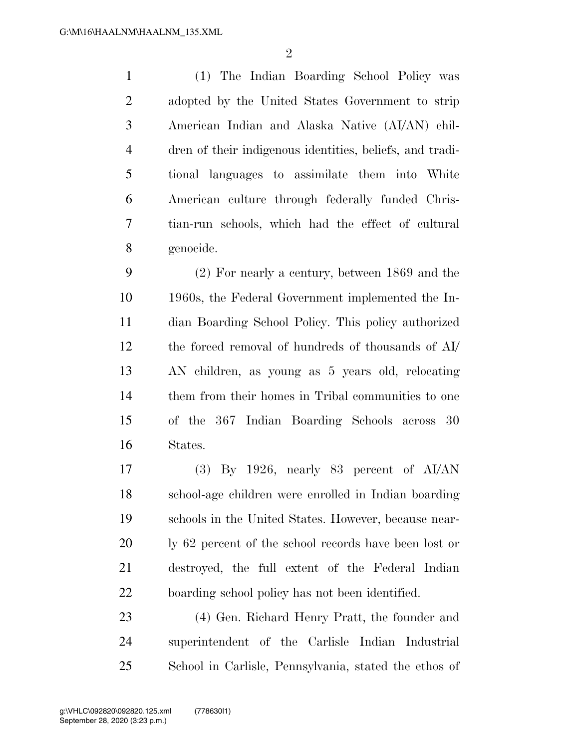(1) The Indian Boarding School Policy was adopted by the United States Government to strip American Indian and Alaska Native (AI/AN) chil- dren of their indigenous identities, beliefs, and tradi- tional languages to assimilate them into White American culture through federally funded Chris- tian-run schools, which had the effect of cultural genocide.

 (2) For nearly a century, between 1869 and the 1960s, the Federal Government implemented the In- dian Boarding School Policy. This policy authorized the forced removal of hundreds of thousands of AI/ AN children, as young as 5 years old, relocating them from their homes in Tribal communities to one of the 367 Indian Boarding Schools across 30 States.

 (3) By 1926, nearly 83 percent of AI/AN school-age children were enrolled in Indian boarding schools in the United States. However, because near-20 ly 62 percent of the school records have been lost or destroyed, the full extent of the Federal Indian boarding school policy has not been identified.

 (4) Gen. Richard Henry Pratt, the founder and superintendent of the Carlisle Indian Industrial School in Carlisle, Pennsylvania, stated the ethos of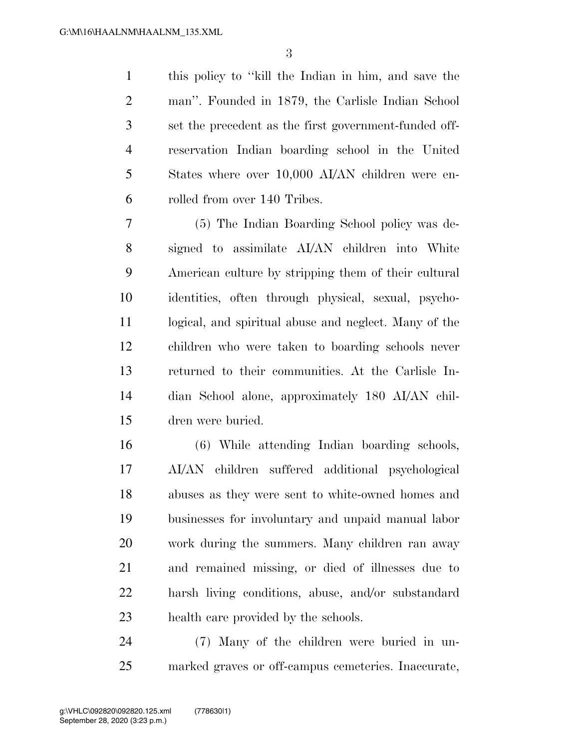this policy to ''kill the Indian in him, and save the man''. Founded in 1879, the Carlisle Indian School set the precedent as the first government-funded off- reservation Indian boarding school in the United States where over 10,000 AI/AN children were en-rolled from over 140 Tribes.

 (5) The Indian Boarding School policy was de- signed to assimilate AI/AN children into White American culture by stripping them of their cultural identities, often through physical, sexual, psycho- logical, and spiritual abuse and neglect. Many of the children who were taken to boarding schools never returned to their communities. At the Carlisle In- dian School alone, approximately 180 AI/AN chil-dren were buried.

 (6) While attending Indian boarding schools, AI/AN children suffered additional psychological abuses as they were sent to white-owned homes and businesses for involuntary and unpaid manual labor work during the summers. Many children ran away and remained missing, or died of illnesses due to harsh living conditions, abuse, and/or substandard health care provided by the schools.

 (7) Many of the children were buried in un-marked graves or off-campus cemeteries. Inaccurate,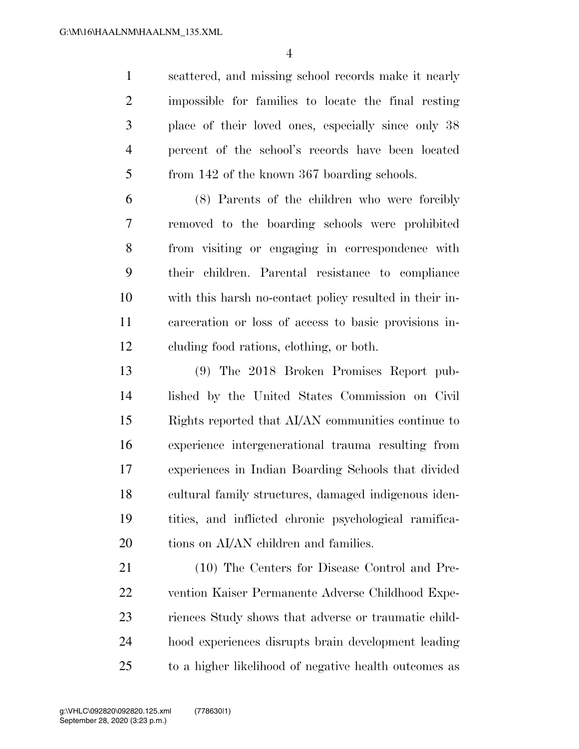scattered, and missing school records make it nearly impossible for families to locate the final resting place of their loved ones, especially since only 38 percent of the school's records have been located from 142 of the known 367 boarding schools.

 (8) Parents of the children who were forcibly removed to the boarding schools were prohibited from visiting or engaging in correspondence with their children. Parental resistance to compliance with this harsh no-contact policy resulted in their in- carceration or loss of access to basic provisions in-cluding food rations, clothing, or both.

 (9) The 2018 Broken Promises Report pub- lished by the United States Commission on Civil Rights reported that AI/AN communities continue to experience intergenerational trauma resulting from experiences in Indian Boarding Schools that divided cultural family structures, damaged indigenous iden- tities, and inflicted chronic psychological ramifica-20 tions on AI/AN children and families.

 (10) The Centers for Disease Control and Pre- vention Kaiser Permanente Adverse Childhood Expe- riences Study shows that adverse or traumatic child- hood experiences disrupts brain development leading to a higher likelihood of negative health outcomes as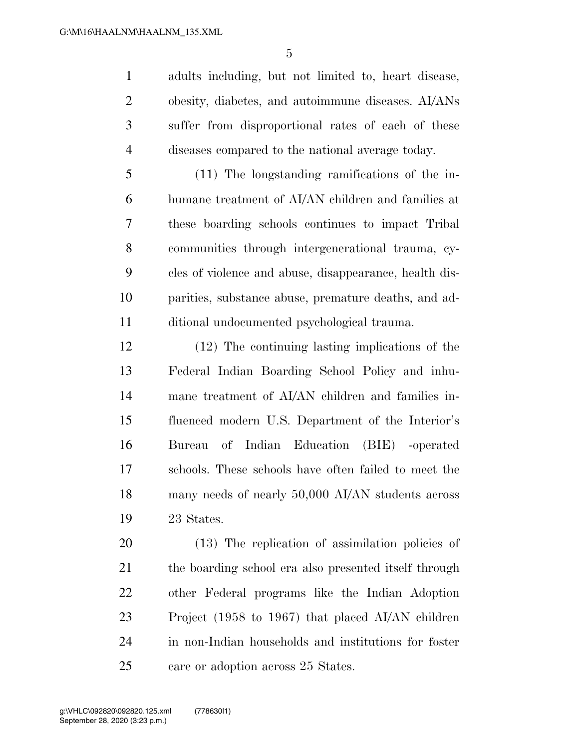adults including, but not limited to, heart disease, obesity, diabetes, and autoimmune diseases. AI/ANs suffer from disproportional rates of each of these diseases compared to the national average today.

 (11) The longstanding ramifications of the in- humane treatment of AI/AN children and families at these boarding schools continues to impact Tribal communities through intergenerational trauma, cy- cles of violence and abuse, disappearance, health dis- parities, substance abuse, premature deaths, and ad-ditional undocumented psychological trauma.

 (12) The continuing lasting implications of the Federal Indian Boarding School Policy and inhu- mane treatment of AI/AN children and families in- fluenced modern U.S. Department of the Interior's Bureau of Indian Education (BIE) -operated schools. These schools have often failed to meet the many needs of nearly 50,000 AI/AN students across 23 States.

 (13) The replication of assimilation policies of 21 the boarding school era also presented itself through other Federal programs like the Indian Adoption Project (1958 to 1967) that placed AI/AN children in non-Indian households and institutions for foster 25 care or adoption across 25 States.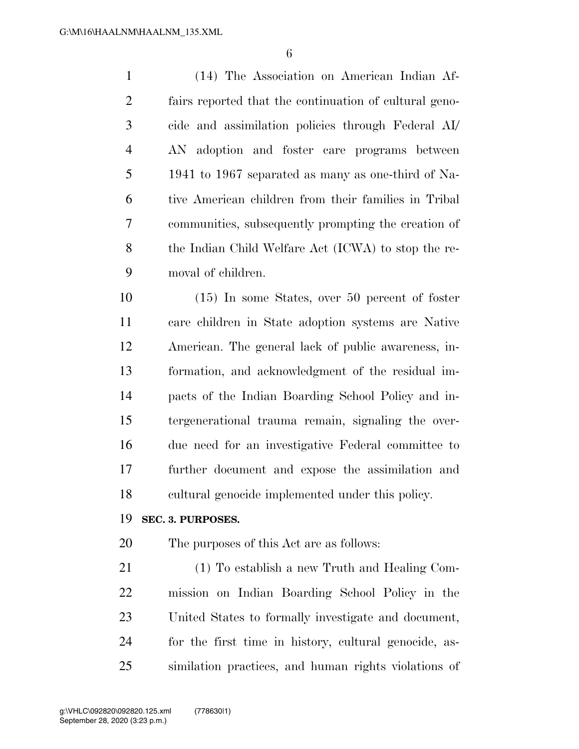(14) The Association on American Indian Af- fairs reported that the continuation of cultural geno- cide and assimilation policies through Federal AI/ AN adoption and foster care programs between 1941 to 1967 separated as many as one-third of Na- tive American children from their families in Tribal communities, subsequently prompting the creation of the Indian Child Welfare Act (ICWA) to stop the re-moval of children.

 (15) In some States, over 50 percent of foster care children in State adoption systems are Native American. The general lack of public awareness, in- formation, and acknowledgment of the residual im- pacts of the Indian Boarding School Policy and in- tergenerational trauma remain, signaling the over- due need for an investigative Federal committee to further document and expose the assimilation and cultural genocide implemented under this policy.

#### **SEC. 3. PURPOSES.**

The purposes of this Act are as follows:

 (1) To establish a new Truth and Healing Com- mission on Indian Boarding School Policy in the United States to formally investigate and document, for the first time in history, cultural genocide, as-similation practices, and human rights violations of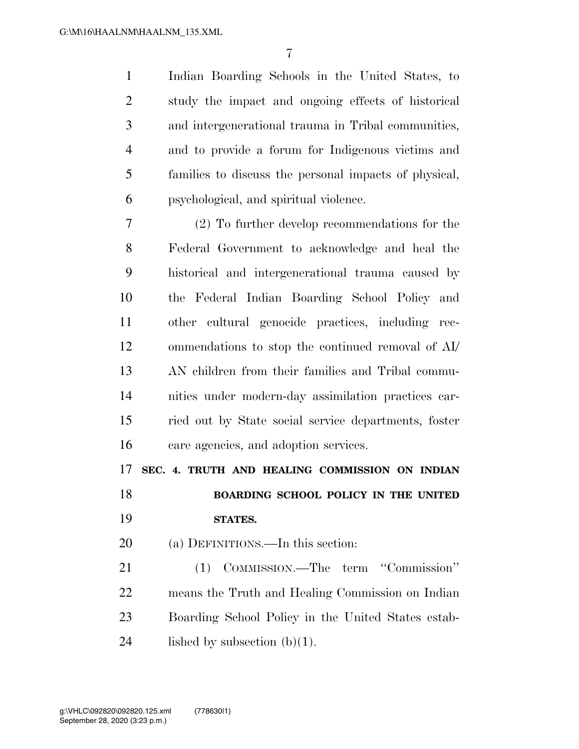Indian Boarding Schools in the United States, to study the impact and ongoing effects of historical and intergenerational trauma in Tribal communities, and to provide a forum for Indigenous victims and families to discuss the personal impacts of physical, psychological, and spiritual violence.

 (2) To further develop recommendations for the Federal Government to acknowledge and heal the historical and intergenerational trauma caused by the Federal Indian Boarding School Policy and other cultural genocide practices, including rec- ommendations to stop the continued removal of AI/ AN children from their families and Tribal commu- nities under modern-day assimilation practices car- ried out by State social service departments, foster care agencies, and adoption services.

**SEC. 4. TRUTH AND HEALING COMMISSION ON INDIAN** 

 **BOARDING SCHOOL POLICY IN THE UNITED STATES.** 

(a) DEFINITIONS.—In this section:

 (1) COMMISSION.—The term ''Commission'' means the Truth and Healing Commission on Indian Boarding School Policy in the United States estab-24 lished by subsection  $(b)(1)$ .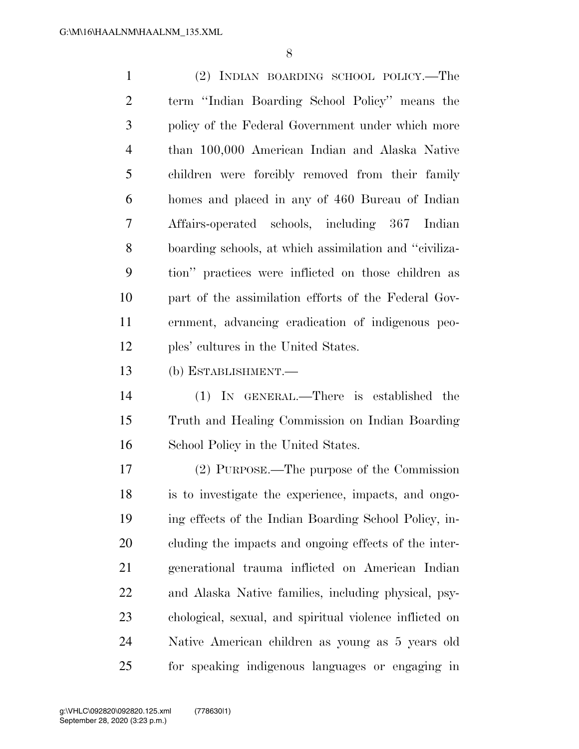(2) INDIAN BOARDING SCHOOL POLICY.—The term ''Indian Boarding School Policy'' means the policy of the Federal Government under which more than 100,000 American Indian and Alaska Native children were forcibly removed from their family homes and placed in any of 460 Bureau of Indian Affairs-operated schools, including 367 Indian boarding schools, at which assimilation and ''civiliza- tion'' practices were inflicted on those children as part of the assimilation efforts of the Federal Gov- ernment, advancing eradication of indigenous peo-ples' cultures in the United States.

(b) ESTABLISHMENT.—

 (1) IN GENERAL.—There is established the Truth and Healing Commission on Indian Boarding School Policy in the United States.

 (2) PURPOSE.—The purpose of the Commission is to investigate the experience, impacts, and ongo- ing effects of the Indian Boarding School Policy, in- cluding the impacts and ongoing effects of the inter- generational trauma inflicted on American Indian and Alaska Native families, including physical, psy- chological, sexual, and spiritual violence inflicted on Native American children as young as 5 years old for speaking indigenous languages or engaging in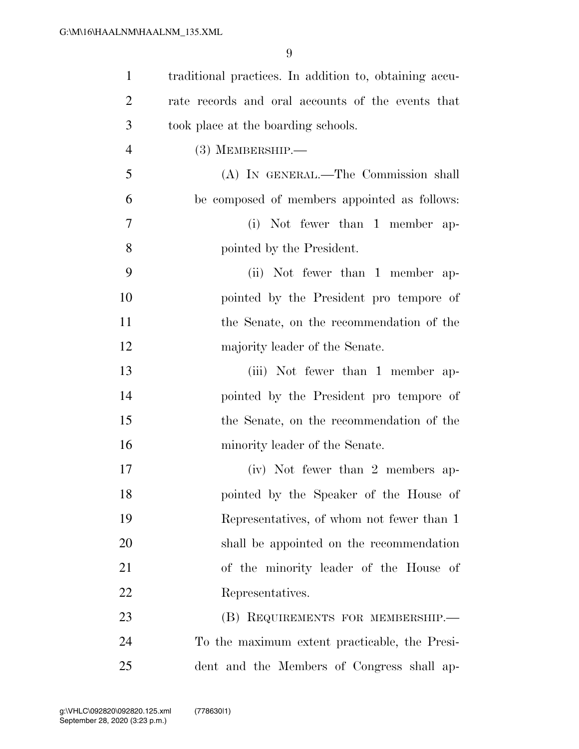| $\mathbf{1}$   | traditional practices. In addition to, obtaining accu- |
|----------------|--------------------------------------------------------|
| $\overline{2}$ | rate records and oral accounts of the events that      |
| 3              | took place at the boarding schools.                    |
| $\overline{4}$ | $(3)$ MEMBERSHIP.—                                     |
| 5              | (A) IN GENERAL.—The Commission shall                   |
| 6              | be composed of members appointed as follows:           |
| 7              | (i) Not fewer than 1 member ap-                        |
| 8              | pointed by the President.                              |
| 9              | (ii) Not fewer than 1 member ap-                       |
| 10             | pointed by the President pro tempore of                |
| 11             | the Senate, on the recommendation of the               |
| 12             | majority leader of the Senate.                         |
| 13             | (iii) Not fewer than 1 member ap-                      |
| 14             | pointed by the President pro tempore of                |
| 15             | the Senate, on the recommendation of the               |
| 16             | minority leader of the Senate.                         |
| 17             | (iv) Not fewer than 2 members ap-                      |
| 18             | pointed by the Speaker of the House of                 |
| 19             | Representatives, of whom not fewer than 1              |
| 20             | shall be appointed on the recommendation               |
| 21             | of the minority leader of the House of                 |
| 22             | Representatives.                                       |
| 23             | (B) REQUIREMENTS FOR MEMBERSHIP.                       |
| 24             | To the maximum extent practicable, the Presi-          |
| 25             | dent and the Members of Congress shall ap-             |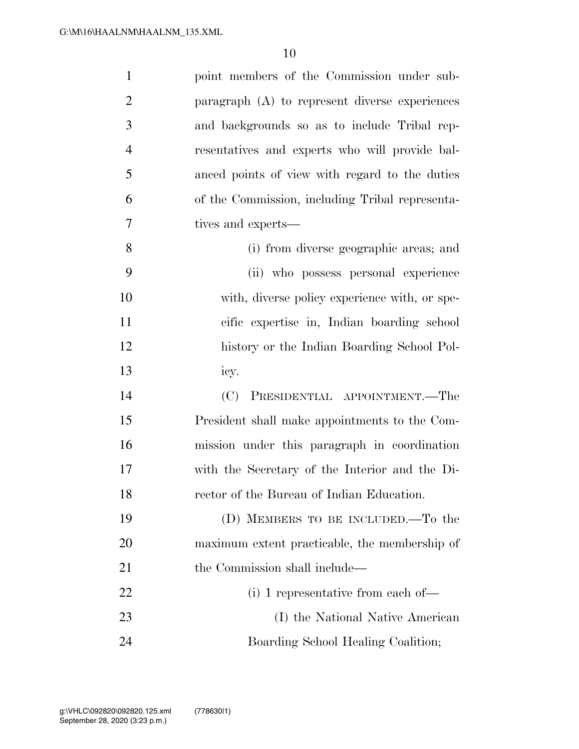| $\mathbf{1}$   | point members of the Commission under sub-        |
|----------------|---------------------------------------------------|
| $\overline{2}$ | paragraph $(A)$ to represent diverse experiences  |
| 3              | and backgrounds so as to include Tribal rep-      |
| $\overline{4}$ | resentatives and experts who will provide bal-    |
| 5              | anced points of view with regard to the duties    |
| 6              | of the Commission, including Tribal representa-   |
| 7              | tives and experts—                                |
| 8              | (i) from diverse geographic areas; and            |
| 9              | (ii) who possess personal experience              |
| 10             | with, diverse policy experience with, or spe-     |
| 11             | cific expertise in, Indian boarding school        |
| 12             | history or the Indian Boarding School Pol-        |
| 13             | icy.                                              |
| 14             | PRESIDENTIAL APPOINTMENT.—The<br>(C)              |
| 15             | President shall make appointments to the Com-     |
| 16             | mission under this paragraph in coordination      |
| 17             | with the Secretary of the Interior and the Di-    |
| 18             | rector of the Bureau of Indian Education.         |
| 19             | (D) MEMBERS TO BE INCLUDED.—To the                |
| 20             | maximum extent practicable, the membership of     |
| 21             | the Commission shall include—                     |
| 22             | $(i)$ 1 representative from each of $\rightarrow$ |
| 23             | (I) the National Native American                  |
| 24             | Boarding School Healing Coalition;                |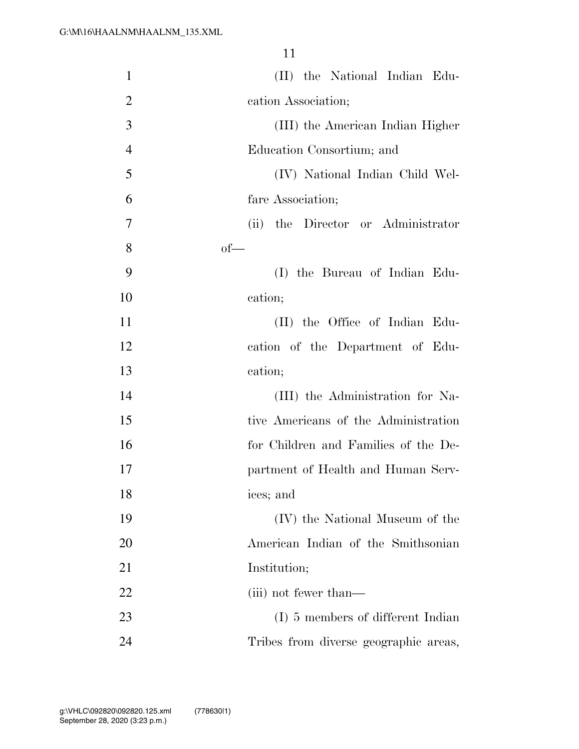| $\mathbf{1}$   | (II) the National Indian Edu-         |
|----------------|---------------------------------------|
| $\overline{2}$ | cation Association;                   |
| 3              | (III) the American Indian Higher      |
| $\overline{4}$ | Education Consortium; and             |
| 5              | (IV) National Indian Child Wel-       |
| 6              | fare Association;                     |
| $\overline{7}$ | the Director or Administrator<br>(ii) |
| 8              | $of$ —                                |
| 9              | (I) the Bureau of Indian Edu-         |
| 10             | cation;                               |
| 11             | (II) the Office of Indian Edu-        |
| 12             | cation of the Department of Edu-      |
| 13             | cation;                               |
| 14             | (III) the Administration for Na-      |
| 15             | tive Americans of the Administration  |
| 16             | for Children and Families of the De-  |
| 17             | partment of Health and Human Serv-    |
| 18             | ices; and                             |
| 19             | (IV) the National Museum of the       |
| 20             | American Indian of the Smithsonian    |
| 21             | Institution;                          |
| 22             | (iii) not fewer than—                 |
| 23             | (I) 5 members of different Indian     |
| 24             | Tribes from diverse geographic areas, |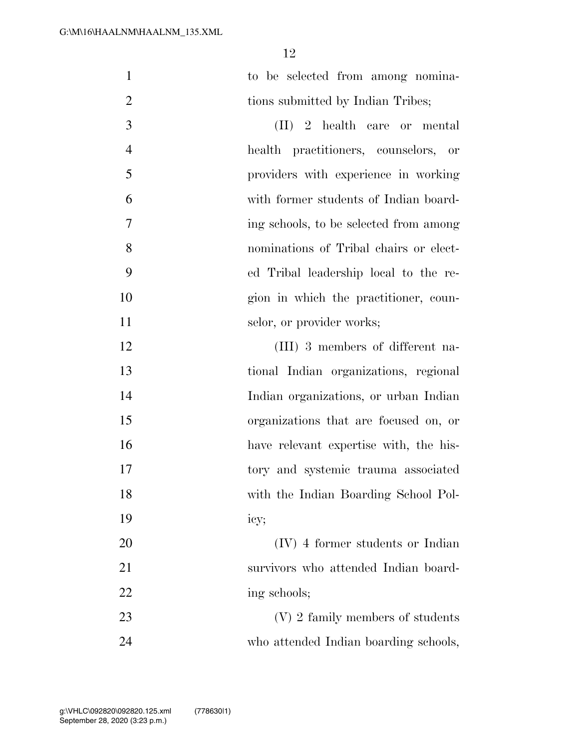| $\mathbf{1}$   | to be selected from among nomina-      |
|----------------|----------------------------------------|
| $\overline{2}$ | tions submitted by Indian Tribes;      |
| 3              | $(II)$ 2 health care or mental         |
| $\overline{4}$ | health practitioners, counselors, or   |
| 5              | providers with experience in working   |
| 6              | with former students of Indian board-  |
| $\overline{7}$ | ing schools, to be selected from among |
| 8              | nominations of Tribal chairs or elect- |
| 9              | ed Tribal leadership local to the re-  |
| 10             | gion in which the practitioner, coun-  |
| 11             | selor, or provider works;              |
| 12             | (III) 3 members of different na-       |
| 13             | tional Indian organizations, regional  |
| 14             | Indian organizations, or urban Indian  |
| 15             | organizations that are focused on, or  |
| 16             | have relevant expertise with, the his- |
| 17             | tory and systemic trauma associated    |
| 18             | with the Indian Boarding School Pol-   |
| 19             | icy;                                   |
| 20             | (IV) 4 former students or Indian       |
| 21             | survivors who attended Indian board-   |
| 22             | ing schools;                           |
| 23             | (V) 2 family members of students       |
| 24             | who attended Indian boarding schools,  |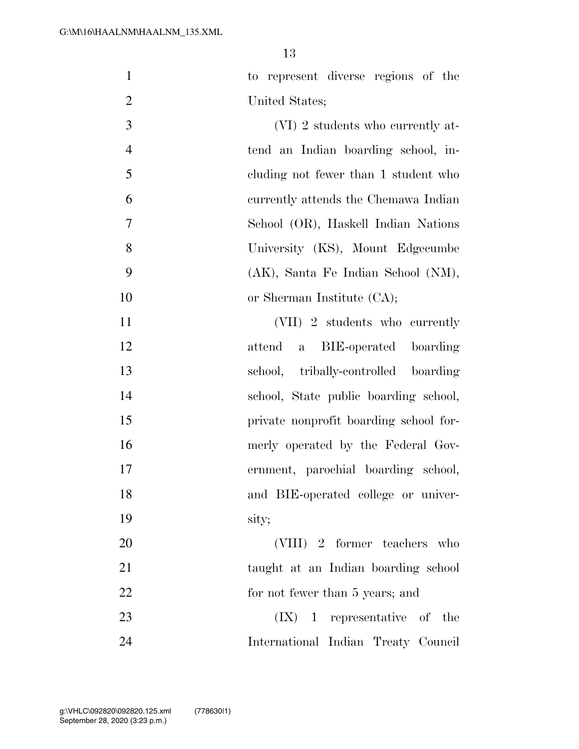to represent diverse regions of the United States;

3 (VI) 2 students who currently at- tend an Indian boarding school, in- cluding not fewer than 1 student who currently attends the Chemawa Indian School (OR), Haskell Indian Nations University (KS), Mount Edgecumbe (AK), Santa Fe Indian School (NM), 10 or Sherman Institute (CA);

11 (VII) 2 students who currently attend a BIE-operated boarding school, tribally-controlled boarding school, State public boarding school, private nonprofit boarding school for- merly operated by the Federal Gov- ernment, parochial boarding school, and BIE-operated college or univer- sity; (VIII) 2 former teachers who

21 taught at an Indian boarding school 22 for not fewer than 5 years; and 23 (IX) 1 representative of the

International Indian Treaty Council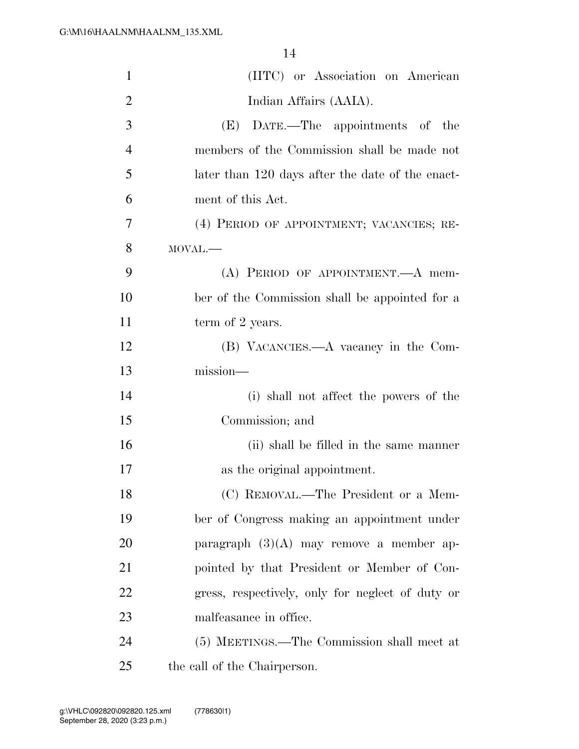| $\mathbf{1}$   | (IITC) or Association on American                |
|----------------|--------------------------------------------------|
| $\overline{2}$ | Indian Affairs (AAIA).                           |
| 3              | (E) DATE.—The appointments of the                |
| $\overline{4}$ | members of the Commission shall be made not      |
| 5              | later than 120 days after the date of the enact- |
| 6              | ment of this Act.                                |
| 7              | (4) PERIOD OF APPOINTMENT; VACANCIES; RE-        |
| 8              | MOVAL.-                                          |
| 9              | (A) PERIOD OF APPOINTMENT.—A mem-                |
| 10             | ber of the Commission shall be appointed for a   |
| 11             | term of 2 years.                                 |
| 12             | (B) VACANCIES.—A vacancy in the Com-             |
| 13             | mission-                                         |
| 14             | (i) shall not affect the powers of the           |
| 15             | Commission; and                                  |
| 16             | (ii) shall be filled in the same manner          |
| 17             | as the original appointment.                     |
| 18             | (C) REMOVAL.—The President or a Mem-             |
| 19             | ber of Congress making an appointment under      |
| 20             | paragraph $(3)(A)$ may remove a member ap-       |
| 21             | pointed by that President or Member of Con-      |
| 22             | gress, respectively, only for neglect of duty or |
| 23             | malfeasance in office.                           |
| 24             | (5) MEETINGS.—The Commission shall meet at       |
|                |                                                  |

the call of the Chairperson.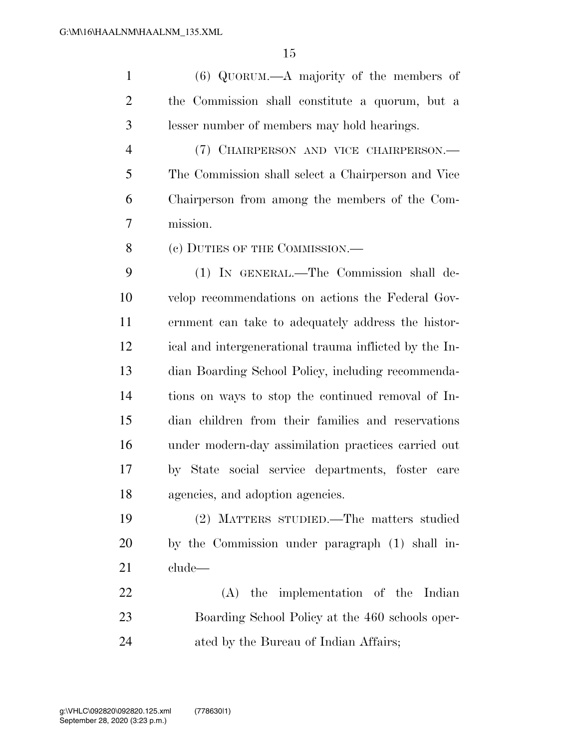(6) QUORUM.—A majority of the members of the Commission shall constitute a quorum, but a lesser number of members may hold hearings.

 (7) CHAIRPERSON AND VICE CHAIRPERSON.— The Commission shall select a Chairperson and Vice Chairperson from among the members of the Com-mission.

8 (c) DUTIES OF THE COMMISSION.—

 (1) IN GENERAL.—The Commission shall de- velop recommendations on actions the Federal Gov- ernment can take to adequately address the histor- ical and intergenerational trauma inflicted by the In- dian Boarding School Policy, including recommenda- tions on ways to stop the continued removal of In- dian children from their families and reservations under modern-day assimilation practices carried out by State social service departments, foster care agencies, and adoption agencies.

 (2) MATTERS STUDIED.—The matters studied by the Commission under paragraph (1) shall in-clude—

 (A) the implementation of the Indian Boarding School Policy at the 460 schools oper-ated by the Bureau of Indian Affairs;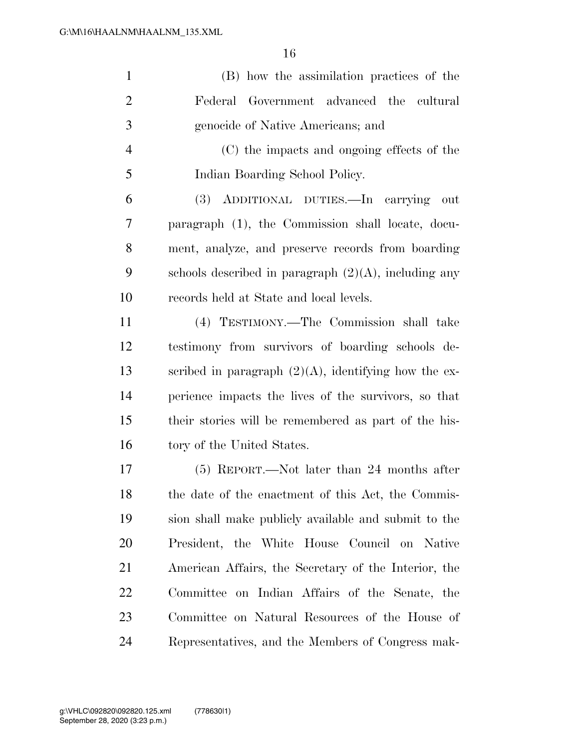| $\mathbf{1}$   | (B) how the assimilation practices of the               |
|----------------|---------------------------------------------------------|
| $\overline{2}$ | Federal Government advanced the cultural                |
| 3              | genocide of Native Americans; and                       |
| $\overline{4}$ | (C) the impacts and ongoing effects of the              |
| 5              | Indian Boarding School Policy.                          |
| 6              | (3) ADDITIONAL DUTIES.—In carrying<br>out               |
| 7              | paragraph (1), the Commission shall locate, docu-       |
| 8              | ment, analyze, and preserve records from boarding       |
| 9              | schools described in paragraph $(2)(A)$ , including any |
| 10             | records held at State and local levels.                 |
| 11             | (4) TESTIMONY.—The Commission shall take                |
| 12             | testimony from survivors of boarding schools de-        |
| 13             | scribed in paragraph $(2)(A)$ , identifying how the ex- |
| 14             | perience impacts the lives of the survivors, so that    |
| 15             | their stories will be remembered as part of the his-    |
| 16             | tory of the United States.                              |
| 17             | $(5)$ REPORT.—Not later than 24 months after            |
| 18             | the date of the enactment of this Act, the Commis-      |
| 19             | sion shall make publicly available and submit to the    |
| 20             | President, the White House Council on Native            |
| 21             | American Affairs, the Secretary of the Interior, the    |
| 22             | Committee on Indian Affairs of the Senate, the          |
| 23             | Committee on Natural Resources of the House of          |
| 24             | Representatives, and the Members of Congress mak-       |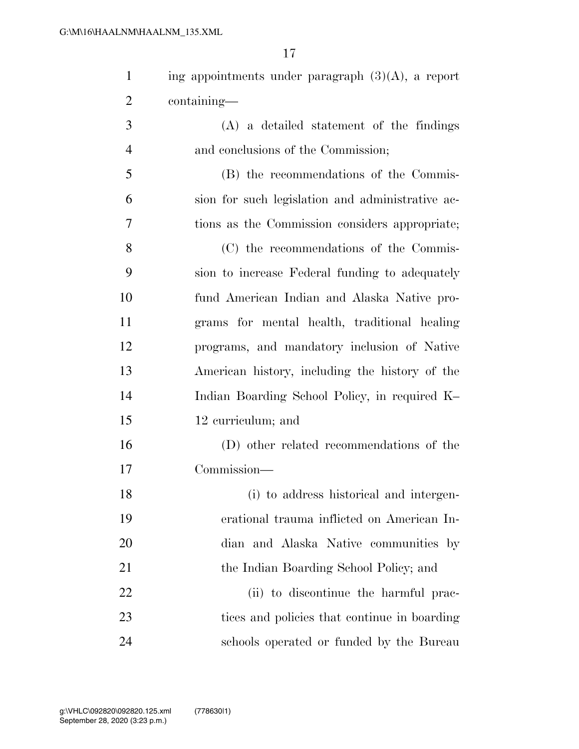1 ing appointments under paragraph  $(3)(A)$ , a report containing—

 (A) a detailed statement of the findings and conclusions of the Commission;

 (B) the recommendations of the Commis- sion for such legislation and administrative ac-tions as the Commission considers appropriate;

 (C) the recommendations of the Commis- sion to increase Federal funding to adequately fund American Indian and Alaska Native pro- grams for mental health, traditional healing programs, and mandatory inclusion of Native American history, including the history of the Indian Boarding School Policy, in required K– 12 curriculum; and

 (D) other related recommendations of the Commission—

 (i) to address historical and intergen- erational trauma inflicted on American In- dian and Alaska Native communities by 21 the Indian Boarding School Policy; and 22 (ii) to discontinue the harmful prac- tices and policies that continue in boarding schools operated or funded by the Bureau